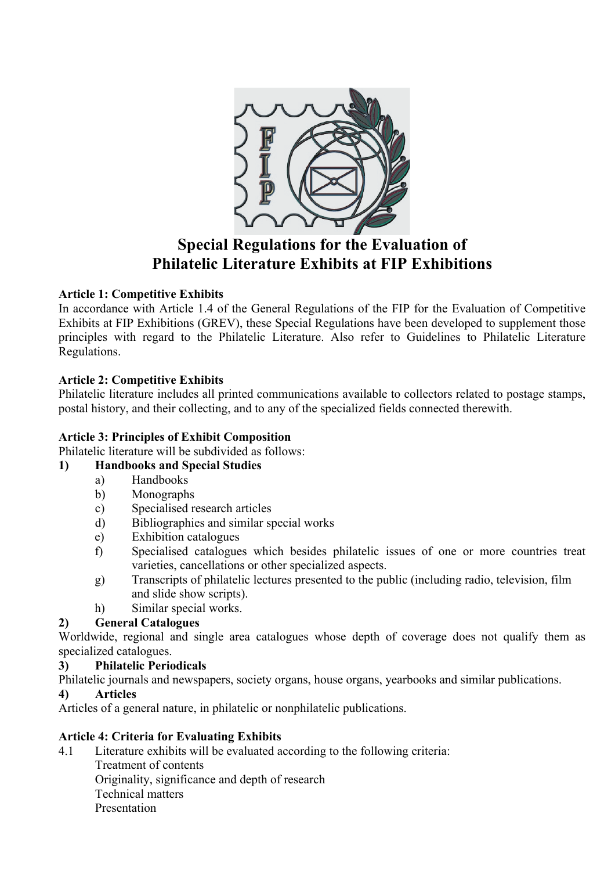

# **Special Regulations for the Evaluation of Philatelic Literature Exhibits at FIP Exhibitions**

### **Article 1: Competitive Exhibits**

In accordance with Article 1.4 of the General Regulations of the FIP for the Evaluation of Competitive Exhibits at FIP Exhibitions (GREV), these Special Regulations have been developed to supplement those principles with regard to the Philatelic Literature. Also refer to Guidelines to Philatelic Literature Regulations.

### **Article 2: Competitive Exhibits**

Philatelic literature includes all printed communications available to collectors related to postage stamps, postal history, and their collecting, and to any of the specialized fields connected therewith.

#### **Article 3: Principles of Exhibit Composition**

Philatelic literature will be subdivided as follows:

#### **1) Handbooks and Special Studies**

- a) Handbooks
- b) Monographs
- c) Specialised research articles
- d) Bibliographies and similar special works
- e) Exhibition catalogues
- f) Specialised catalogues which besides philatelic issues of one or more countries treat varieties, cancellations or other specialized aspects.
- g) Transcripts of philatelic lectures presented to the public (including radio, television, film and slide show scripts).
- h) Similar special works.

## **2) General Catalogues**

Worldwide, regional and single area catalogues whose depth of coverage does not qualify them as specialized catalogues.

#### **3) Philatelic Periodicals**

Philatelic journals and newspapers, society organs, house organs, yearbooks and similar publications.

#### **4) Articles**

Articles of a general nature, in philatelic or nonphilatelic publications.

#### **Article 4: Criteria for Evaluating Exhibits**

4.1 Literature exhibits will be evaluated according to the following criteria: Treatment of contents Originality, significance and depth of research Technical matters Presentation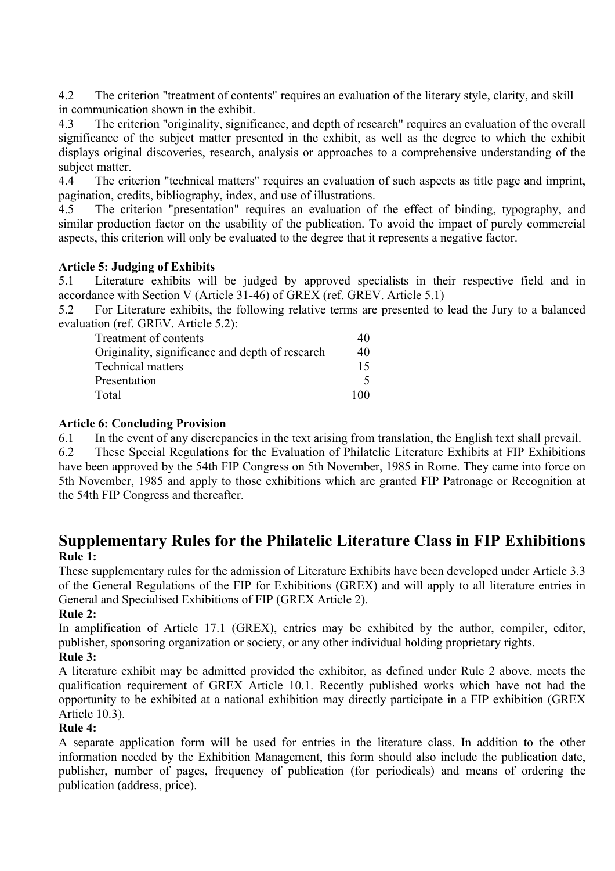4.2 The criterion "treatment of contents" requires an evaluation of the literary style, clarity, and skill in communication shown in the exhibit.

4.3 The criterion "originality, significance, and depth of research" requires an evaluation of the overall significance of the subject matter presented in the exhibit, as well as the degree to which the exhibit displays original discoveries, research, analysis or approaches to a comprehensive understanding of the subject matter.

4.4 The criterion "technical matters" requires an evaluation of such aspects as title page and imprint, pagination, credits, bibliography, index, and use of illustrations.

4.5 The criterion "presentation" requires an evaluation of the effect of binding, typography, and similar production factor on the usability of the publication. To avoid the impact of purely commercial aspects, this criterion will only be evaluated to the degree that it represents a negative factor.

#### **Article 5: Judging of Exhibits**

5.1 Literature exhibits will be judged by approved specialists in their respective field and in accordance with Section V (Article 31-46) of GREX (ref. GREV. Article 5.1)

5.2 For Literature exhibits, the following relative terms are presented to lead the Jury to a balanced evaluation (ref. GREV. Article 5.2):

| Treatment of contents                           | 40  |
|-------------------------------------------------|-----|
| Originality, significance and depth of research | 40  |
| <b>Technical matters</b>                        | 15  |
| Presentation                                    |     |
| Total                                           | 100 |
|                                                 |     |

### **Article 6: Concluding Provision**

6.1 In the event of any discrepancies in the text arising from translation, the English text shall prevail.

6.2 These Special Regulations for the Evaluation of Philatelic Literature Exhibits at FIP Exhibitions have been approved by the 54th FIP Congress on 5th November, 1985 in Rome. They came into force on 5th November, 1985 and apply to those exhibitions which are granted FIP Patronage or Recognition at the 54th FIP Congress and thereafter.

# **Supplementary Rules for the Philatelic Literature Class in FIP Exhibitions Rule 1:**

These supplementary rules for the admission of Literature Exhibits have been developed under Article 3.3 of the General Regulations of the FIP for Exhibitions (GREX) and will apply to all literature entries in General and Specialised Exhibitions of FIP (GREX Article 2).

#### **Rule 2:**

In amplification of Article 17.1 (GREX), entries may be exhibited by the author, compiler, editor, publisher, sponsoring organization or society, or any other individual holding proprietary rights. **Rule 3:**

A literature exhibit may be admitted provided the exhibitor, as defined under Rule 2 above, meets the qualification requirement of GREX Article 10.1. Recently published works which have not had the opportunity to be exhibited at a national exhibition may directly participate in a FIP exhibition (GREX Article 10.3).

#### **Rule 4:**

A separate application form will be used for entries in the literature class. In addition to the other information needed by the Exhibition Management, this form should also include the publication date, publisher, number of pages, frequency of publication (for periodicals) and means of ordering the publication (address, price).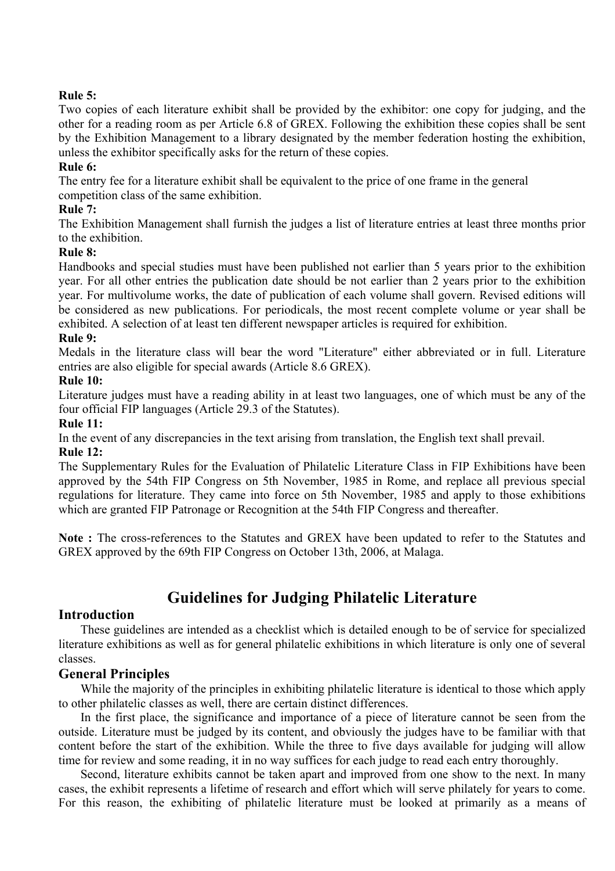#### **Rule 5:**

Two copies of each literature exhibit shall be provided by the exhibitor: one copy for judging, and the other for a reading room as per Article 6.8 of GREX. Following the exhibition these copies shall be sent by the Exhibition Management to a library designated by the member federation hosting the exhibition, unless the exhibitor specifically asks for the return of these copies.

#### **Rule 6:**

The entry fee for a literature exhibit shall be equivalent to the price of one frame in the general

competition class of the same exhibition.

#### **Rule 7:**

The Exhibition Management shall furnish the judges a list of literature entries at least three months prior to the exhibition.

#### **Rule 8:**

Handbooks and special studies must have been published not earlier than 5 years prior to the exhibition year. For all other entries the publication date should be not earlier than 2 years prior to the exhibition year. For multivolume works, the date of publication of each volume shall govern. Revised editions will be considered as new publications. For periodicals, the most recent complete volume or year shall be exhibited. A selection of at least ten different newspaper articles is required for exhibition.

#### **Rule 9:**

Medals in the literature class will bear the word "Literature" either abbreviated or in full. Literature entries are also eligible for special awards (Article 8.6 GREX).

#### **Rule 10:**

Literature judges must have a reading ability in at least two languages, one of which must be any of the four official FIP languages (Article 29.3 of the Statutes).

#### **Rule 11:**

In the event of any discrepancies in the text arising from translation, the English text shall prevail. **Rule 12:**

The Supplementary Rules for the Evaluation of Philatelic Literature Class in FIP Exhibitions have been approved by the 54th FIP Congress on 5th November, 1985 in Rome, and replace all previous special regulations for literature. They came into force on 5th November, 1985 and apply to those exhibitions which are granted FIP Patronage or Recognition at the 54th FIP Congress and thereafter.

**Note :** The cross-references to the Statutes and GREX have been updated to refer to the Statutes and GREX approved by the 69th FIP Congress on October 13th, 2006, at Malaga.

# **Guidelines for Judging Philatelic Literature**

#### **Introduction**

These guidelines are intended as a checklist which is detailed enough to be of service for specialized literature exhibitions as well as for general philatelic exhibitions in which literature is only one of several classes.

#### **General Principles**

While the majority of the principles in exhibiting philatelic literature is identical to those which apply to other philatelic classes as well, there are certain distinct differences.

In the first place, the significance and importance of a piece of literature cannot be seen from the outside. Literature must be judged by its content, and obviously the judges have to be familiar with that content before the start of the exhibition. While the three to five days available for judging will allow time for review and some reading, it in no way suffices for each judge to read each entry thoroughly.

Second, literature exhibits cannot be taken apart and improved from one show to the next. In many cases, the exhibit represents a lifetime of research and effort which will serve philately for years to come. For this reason, the exhibiting of philatelic literature must be looked at primarily as a means of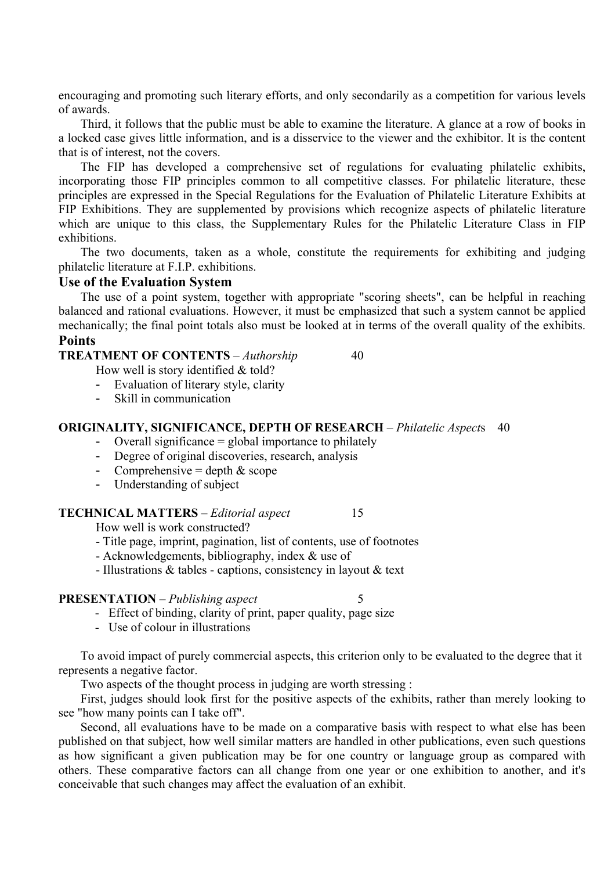encouraging and promoting such literary efforts, and only secondarily as a competition for various levels of awards.

Third, it follows that the public must be able to examine the literature. A glance at a row of books in a locked case gives little information, and is a disservice to the viewer and the exhibitor. It is the content that is of interest, not the covers.

The FIP has developed a comprehensive set of regulations for evaluating philatelic exhibits, incorporating those FIP principles common to all competitive classes. For philatelic literature, these principles are expressed in the Special Regulations for the Evaluation of Philatelic Literature Exhibits at FIP Exhibitions. They are supplemented by provisions which recognize aspects of philatelic literature which are unique to this class, the Supplementary Rules for the Philatelic Literature Class in FIP exhibitions.

The two documents, taken as a whole, constitute the requirements for exhibiting and judging philatelic literature at F.I.P. exhibitions.

#### **Use of the Evaluation System**

The use of a point system, together with appropriate "scoring sheets", can be helpful in reaching balanced and rational evaluations. However, it must be emphasized that such a system cannot be applied mechanically; the final point totals also must be looked at in terms of the overall quality of the exhibits. **Points**

| <b>TREATMENT OF CONTENTS</b> – Authorship | 40 |
|-------------------------------------------|----|
|-------------------------------------------|----|

How well is story identified & told?

- Evaluation of literary style, clarity
- Skill in communication

#### **ORIGINALITY, SIGNIFICANCE, DEPTH OF RESEARCH** – *Philatelic Aspect*s 40

- Overall significance  $=$  global importance to philately
- Degree of original discoveries, research, analysis
- Comprehensive = depth  $&$  scope
- Understanding of subject

#### **TECHNICAL MATTERS** – *Editorial aspect* 15

How well is work constructed?

- Title page, imprint, pagination, list of contents, use of footnotes
- Acknowledgements, bibliography, index & use of
- Illustrations & tables captions, consistency in layout & text

#### **PRESENTATION** – *Publishing aspect*

- Effect of binding, clarity of print, paper quality, page size
- Use of colour in illustrations

To avoid impact of purely commercial aspects, this criterion only to be evaluated to the degree that it represents a negative factor.

Two aspects of the thought process in judging are worth stressing :

First, judges should look first for the positive aspects of the exhibits, rather than merely looking to see "how many points can I take off".

Second, all evaluations have to be made on a comparative basis with respect to what else has been published on that subject, how well similar matters are handled in other publications, even such questions as how significant a given publication may be for one country or language group as compared with others. These comparative factors can all change from one year or one exhibition to another, and it's conceivable that such changes may affect the evaluation of an exhibit.